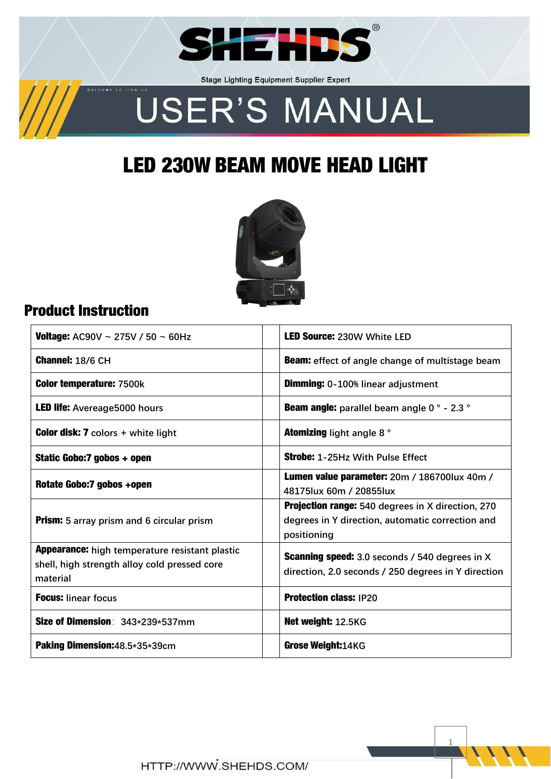

**Stage Lighting Equipment Supplier Expert** 

# **USER'S MANUAL**

## LED 230W BEAM MOVE HEAD LIGHT



## Product Instruction

| <b>Voltage:</b> AC90V ~ 275V / 50 ~ 60Hz                                                                          | LED Source: 230W White LED                                                                                           |
|-------------------------------------------------------------------------------------------------------------------|----------------------------------------------------------------------------------------------------------------------|
| Channel: 18/6 CH                                                                                                  | <b>Beam:</b> effect of angle change of multistage beam                                                               |
| <b>Color temperature: 7500k</b>                                                                                   | <b>Dimming: 0-100% linear adjustment</b>                                                                             |
| <b>LED life:</b> Avereage5000 hours                                                                               | Beam angle: parallel beam angle 0° - 2.3°                                                                            |
| <b>Color disk: 7 colors + white light</b>                                                                         | <b>Atomizing light angle 8 °</b>                                                                                     |
| Static Gobo:7 gobos + open                                                                                        | <b>Strobe:</b> 1-25Hz With Pulse Effect                                                                              |
| Rotate Gobo:7 gobos +open                                                                                         | Lumen value parameter: 20m / 186700lux 40m /<br>48175 lux 60m / 20855 lux                                            |
| <b>Prism:</b> 5 array prism and 6 circular prism                                                                  | Projection range: 540 degrees in X direction, 270<br>degrees in Y direction, automatic correction and<br>positioning |
| <b>Appearance:</b> high temperature resistant plastic<br>shell, high strength alloy cold pressed core<br>material | <b>Scanning speed:</b> 3.0 seconds / 540 degrees in X<br>direction, 2.0 seconds / 250 degrees in Y direction         |
| <b>Focus:</b> linear focus                                                                                        | <b>Protection class: IP20</b>                                                                                        |
| Size of Dimension: 343*239*537mm                                                                                  | Net weight: 12.5KG                                                                                                   |
| Paking Dimension:48.5*35*39cm                                                                                     | <b>Grose Weight: 14KG</b>                                                                                            |
|                                                                                                                   |                                                                                                                      |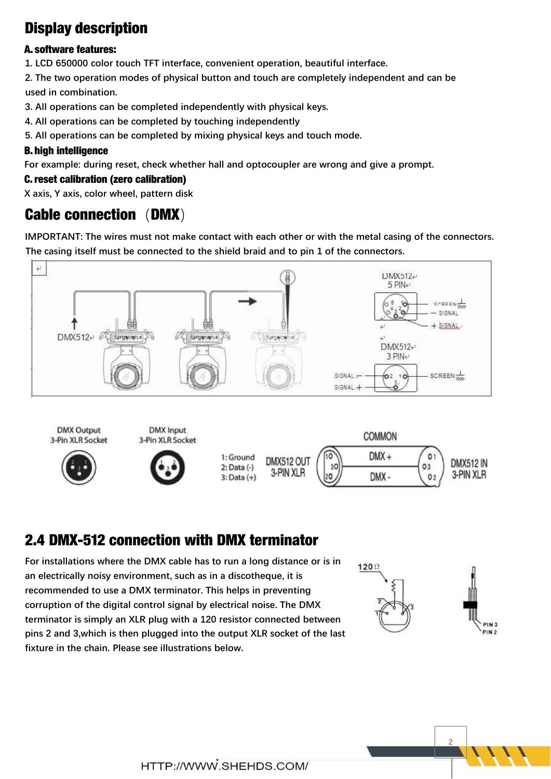## Display description

#### A. software features:

**1. LCD 650000 color touch TFT interface, convenient operation, beautiful interface.**

**2. The two operation modes ofphysical button and touch are completely independent and can be used in combination.**

- 3. All operations can be completed independently with physical keys.<br>4. All operations can be completed by touching independently
- 
- **5. All operations can be completed by mixing physical keys and touch mode.**

#### B. high intelligence

**For example: during reset, check whether hall and optocoupler are wrong and give a prompt.**

#### C.reset calibration (zero calibration)

**X axis, Y axis, color wheel, pattern disk**

## Cable connection (DMX)

**IMPORTANT: The wires must not make contact with each other orwith the metal casing of the connectors. The casing itself must be connected to the shield braid and to pin 1 of the connectors.**



3-PIN XLR

 $20$ 

2: Data (-)

 $3: Data (+)$ 

## 2.4 DMX-512 connection with DMX terminator

**For installations where the DMX cable has to run a long distance or is in an electrically noisy environment, such as in a discotheque, it is recommended to use a DMX terminator. This helps in preventing corruption of the digitalcontrol signal by electrical noise. The DMX terminator is simply an XLR plug with a 120 resistor connected between pins 2 and 3,which is then plugged into the output XLR socket of the last fixture in the chain. Please see illustrations below.**



 $O<sub>3</sub>$ 

 $O<sub>2</sub>$ 

DMX-

3-PIN XLR

2  $\vert$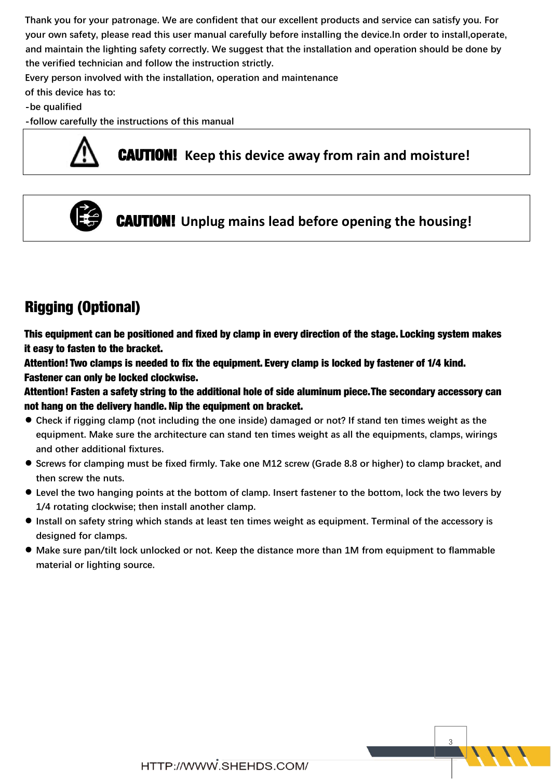Thank you for your patronage. We are confident that our excellent products and service can satisfy you. For your own safety, please read this user manual carefully before installing the device. In order to install, operate, and maintain the lighting safety correctly. We suggest that the installation and operation should be done by **the verified technician and follow the instruction strictly.**

**Every person involved with the installation,operation and maintenance**

**of this device has to:**

**-be qualified**

**-follow carefully the instructions of this manual**



CAUTION! **Keep this device away from rain and moisture!**



CAUTION! **Unplug mains lead before opening the housing!**

## Rigging (Optional)

This equipment can be positioned and fixed by clamp in every direction of the stage. Locking system makes it easy to fasten to the bracket.

Attention! Two clamps is needed to fix the equipment. Every clamp is locked by fastener of 1/4 kind. Fastener can only be locked clockwise.

Attention! Fasten a safety string to the additional hole of side aluminum piece.The secondary accessory can not hang on the delivery handle. Nip the equipment on bracket.

- Check if rigging clamp (not including the one inside) damaged or not? If stand ten times weight as the **equipment. Make sure the architecture can stand ten times weight as all the equipments, clamps, wirings and other additional fixtures.**
- Screws for clamping must be fixed firmly. Take one M12 screw (Grade 8.8 or higher) to clamp bracket, and **then screw the nuts.**
- Level the two hanging points at the bottom of clamp. Insert fastener to the bottom, lock the two levers by **1/4 rotating clockwise; then install another clamp.**
- Install on safety string which stands at least ten times weight as equipment. Terminal of the accessory is **designed for clamps.**
- **Make sure pan/tilt lock unlocked or not. Keep the distance more than 1M from equipment to flammable material or lighting source.**

 $3 \mid$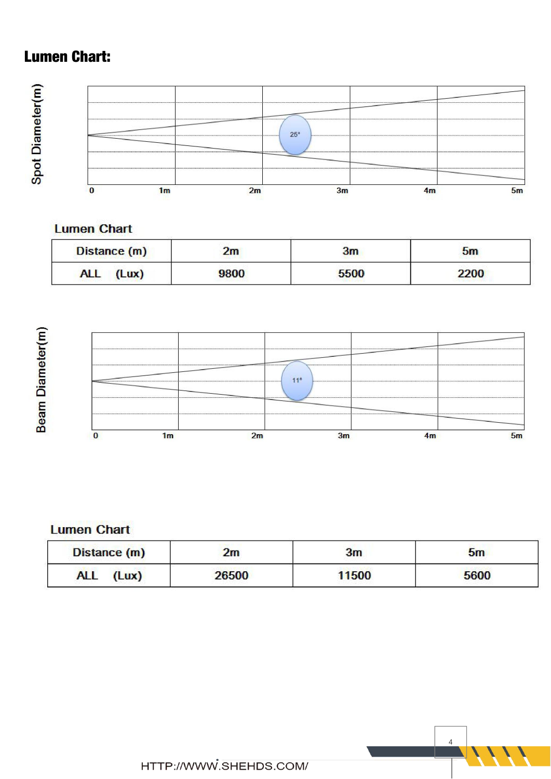## Lumen Chart:

Spot Diameter(m)  $25^\circ$  $2m$  $1<sub>m</sub>$  $3m$  $4m$  $5m$  $\overline{\mathbf{0}}$ 

#### **Lumen Chart**

| Distance (m)        | 2m   | 3m   | 5m   |
|---------------------|------|------|------|
| <b>ALL</b><br>(Lux) | 9800 | 5500 | 2200 |



#### **Lumen Chart**

| Distance (m)        | 2m    | 3 <sub>m</sub> | Ъm   |  |
|---------------------|-------|----------------|------|--|
| <b>ALL</b><br>(Lux) | 26500 | 11500          | 5600 |  |

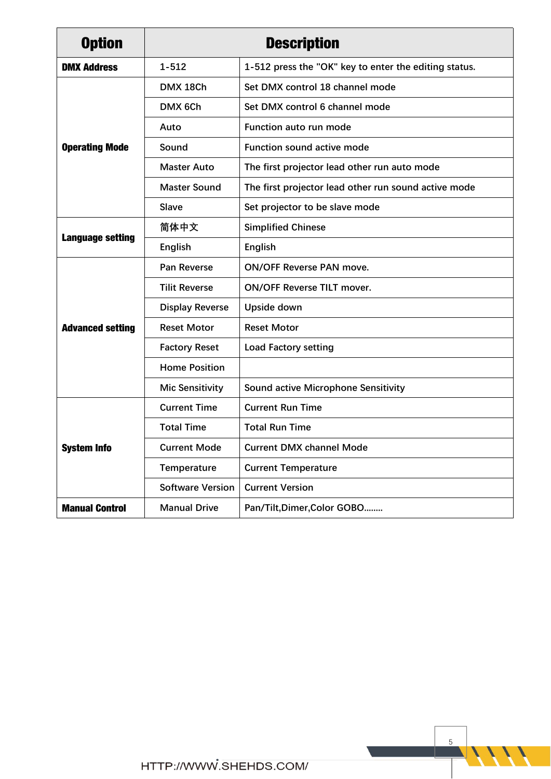| <b>Option</b>           | <b>Description</b>      |                                                       |  |
|-------------------------|-------------------------|-------------------------------------------------------|--|
| <b>DMX Address</b>      | $1 - 512$               | 1-512 press the "OK" key to enter the editing status. |  |
|                         | DMX 18Ch                | Set DMX control 18 channel mode                       |  |
| <b>Operating Mode</b>   | DMX 6Ch                 | Set DMX control 6 channel mode                        |  |
|                         | Auto                    | <b>Function auto run mode</b>                         |  |
|                         | Sound                   | <b>Function sound active mode</b>                     |  |
|                         | <b>Master Auto</b>      | The first projector lead other run auto mode          |  |
|                         | <b>Master Sound</b>     | The first projector lead other run sound active mode  |  |
|                         | Slave                   | Set projector to be slave mode                        |  |
| <b>Language setting</b> | 简体中文                    | <b>Simplified Chinese</b>                             |  |
|                         | English                 | English                                               |  |
|                         | <b>Pan Reverse</b>      | <b>ON/OFF Reverse PAN move.</b>                       |  |
|                         | <b>Tilit Reverse</b>    | <b>ON/OFF Reverse TILT mover.</b>                     |  |
|                         | <b>Display Reverse</b>  | Upside down                                           |  |
| <b>Advanced setting</b> | <b>Reset Motor</b>      | <b>Reset Motor</b>                                    |  |
|                         | <b>Factory Reset</b>    | <b>Load Factory setting</b>                           |  |
|                         | <b>Home Position</b>    |                                                       |  |
|                         | <b>Mic Sensitivity</b>  | <b>Sound active Microphone Sensitivity</b>            |  |
|                         | <b>Current Time</b>     | <b>Current Run Time</b>                               |  |
| <b>System Info</b>      | <b>Total Time</b>       | <b>Total Run Time</b>                                 |  |
|                         | <b>Current Mode</b>     | <b>Current DMX channel Mode</b>                       |  |
|                         | Temperature             | <b>Current Temperature</b>                            |  |
|                         | <b>Software Version</b> | <b>Current Version</b>                                |  |
| <b>Manual Control</b>   | <b>Manual Drive</b>     | Pan/Tilt, Dimer, Color GOBO                           |  |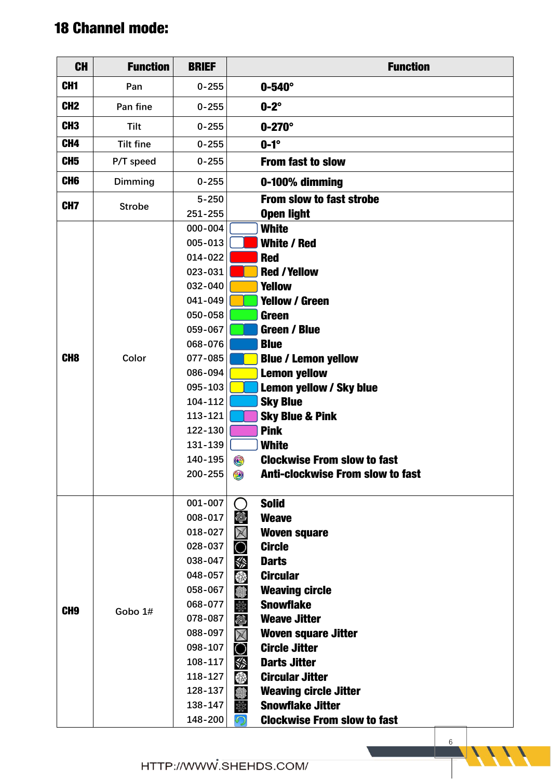## 18 Channel mode:

| <b>CH</b>       | <b>Function</b>  | <b>BRIEF</b>       | <b>Function</b>                                    |
|-----------------|------------------|--------------------|----------------------------------------------------|
| CH <sub>1</sub> | Pan              | $0 - 255$          | $0-540^\circ$                                      |
| CH <sub>2</sub> | Pan fine         | $0 - 255$          | $0-2^\circ$                                        |
| CH <sub>3</sub> | Tilt             | $0 - 255$          | $0-270^\circ$                                      |
| CH <sub>4</sub> | <b>Tilt fine</b> | $0 - 255$          | $0-1^\circ$                                        |
| CH <sub>5</sub> | P/T speed        | $0 - 255$          | <b>From fast to slow</b>                           |
| CH <sub>6</sub> | <b>Dimming</b>   | $0 - 255$          | 0-100% dimming                                     |
| CH <sub>7</sub> | <b>Strobe</b>    | $5 - 250$          | <b>From slow to fast strobe</b>                    |
|                 |                  | 251-255            | <b>Open light</b>                                  |
|                 |                  | $000 - 004$        | <b>White</b>                                       |
|                 |                  | $005 - 013$        | <b>White / Red</b>                                 |
|                 |                  | $014 - 022$        | <b>Red</b>                                         |
|                 |                  | 023-031            | <b>Red / Yellow</b>                                |
|                 | 032-040          | <b>Yellow</b>      |                                                    |
|                 |                  | 041-049            | <b>Yellow / Green</b>                              |
|                 |                  | 050-058            | <b>Green</b>                                       |
|                 |                  | 059-067            | Green / Blue                                       |
|                 |                  | 068-076            | <b>Blue</b>                                        |
| CH <sub>8</sub> | Color            | 077-085            | <b>Blue / Lemon yellow</b>                         |
|                 |                  | 086-094            | <b>Lemon yellow</b>                                |
|                 |                  | $095 - 103$        | Lemon yellow / Sky blue                            |
|                 |                  | 104-112<br>113-121 | <b>Sky Blue</b>                                    |
|                 |                  | 122-130            | <b>Sky Blue &amp; Pink</b><br><b>Pink</b>          |
|                 |                  | 131-139            | <b>White</b>                                       |
|                 |                  | 140-195            | <b>Clockwise From slow to fast</b><br>$\bigcirc$   |
|                 |                  | $200 - 255$        | <b>Anti-clockwise From slow to fast</b><br>$\odot$ |
|                 |                  |                    |                                                    |
|                 |                  | 001-007            | <b>Solid</b><br>$\bigcirc$                         |
|                 |                  | $008 - 017$        | 谷<br><b>Weave</b>                                  |
|                 |                  | $018 - 027$        | M<br><b>Woven square</b>                           |
|                 |                  | $028 - 037$        | $\bigcirc$<br><b>Circle</b>                        |
|                 |                  | 038-047            | 參<br><b>Darts</b>                                  |
|                 |                  | $048 - 057$        | 率<br><b>Circular</b>                               |
|                 |                  | 058-067            | <b>Weaving circle</b><br>靊                         |
| CH <sub>9</sub> | Gobo 1#          | 068-077            | <b>Snowflake</b><br>戀                              |
|                 |                  | $078 - 087$        | 谷<br><b>Weave Jitter</b>                           |
|                 |                  | 088-097            | $\boxtimes$<br><b>Woven square Jitter</b>          |
|                 |                  | $098 - 107$        | <b>Circle Jitter</b><br>$\bigcirc$                 |
|                 |                  | $108 - 117$        | 缕<br><b>Darts Jitter</b>                           |
|                 |                  | $118 - 127$        | <b>Circular Jitter</b><br>率                        |
|                 |                  | 128-137            | 靊<br><b>Weaving circle Jitter</b>                  |
|                 |                  | 138-147            | <b>Snowflake Jitter</b><br>戀                       |
|                 |                  | 148-200            | $\bigcirc$<br><b>Clockwise From slow to fast</b>   |

EWW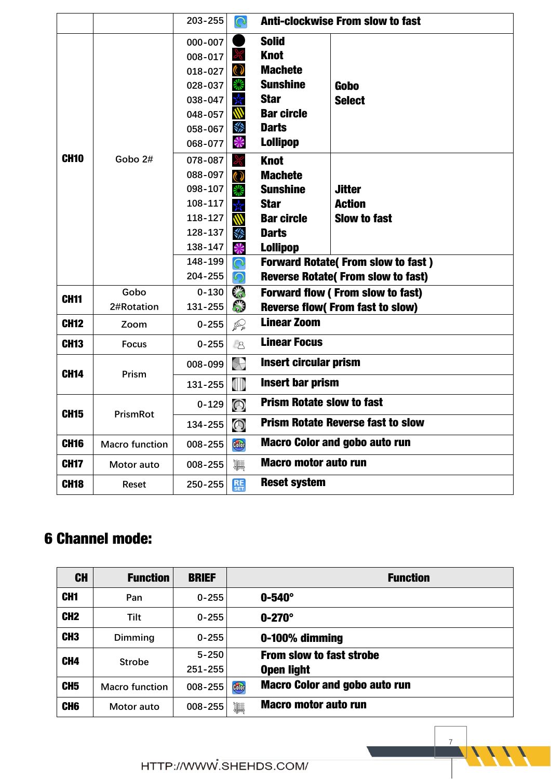|             |                       | 203-255     | $\overline{C}$           |                                  | <b>Anti-clockwise From slow to fast</b>  |
|-------------|-----------------------|-------------|--------------------------|----------------------------------|------------------------------------------|
|             |                       | 000-007     |                          | <b>Solid</b>                     |                                          |
|             |                       | 008-017     | $\frac{1}{20}$           | <b>Knot</b>                      |                                          |
|             |                       | 018-027     | $\odot$                  | <b>Machete</b>                   |                                          |
|             |                       | 028-037     | 纂                        | <b>Sunshine</b>                  | Gobo                                     |
|             |                       | 038-047     | 宗                        | <b>Star</b>                      | <b>Select</b>                            |
|             |                       | 048-057     | W                        | <b>Bar circle</b>                |                                          |
|             |                       | 058-067     | ₩                        | <b>Darts</b>                     |                                          |
|             |                       | 068-077     |                          | <b>Lollipop</b>                  |                                          |
| <b>CH10</b> | Gobo 2#               | 078-087     | $\frac{1}{20}$           | <b>Knot</b>                      |                                          |
|             |                       | 088-097     | $\overline{()}$          | <b>Machete</b>                   |                                          |
|             |                       | 098-107     | 纂                        | <b>Sunshine</b>                  | <b>Jitter</b>                            |
|             |                       | $108 - 117$ | <b>B</b>                 | <b>Star</b>                      | <b>Action</b>                            |
|             |                       | 118-127     | W                        | <b>Bar circle</b>                | <b>Slow to fast</b>                      |
|             |                       | 128-137     | ∜                        | <b>Darts</b>                     |                                          |
|             |                       | 138-147     | مرکزی<br>مولاد           | <b>Lollipop</b>                  |                                          |
|             |                       | 148-199     | $\overline{C}$           |                                  | <b>Forward Rotate(From slow to fast)</b> |
|             |                       | 204-255     | $\overline{\mathcal{O}}$ |                                  | <b>Reverse Rotate(From slow to fast)</b> |
| <b>CH11</b> | Gobo                  | $0 - 130$   | <b>City</b>              |                                  | <b>Forward flow (From slow to fast)</b>  |
|             | 2#Rotation            | 131-255     | 63                       |                                  | <b>Reverse flow(From fast to slow)</b>   |
| <b>CH12</b> | Zoom                  | $0 - 255$   | Q                        | <b>Linear Zoom</b>               |                                          |
| <b>CH13</b> | <b>Focus</b>          | $0 - 255$   | 8                        | <b>Linear Focus</b>              |                                          |
|             |                       | 008-099     | $\bigotimes$             | <b>Insert circular prism</b>     |                                          |
| <b>CH14</b> | Prism                 | 131-255     | 0                        | <b>Insert bar prism</b>          |                                          |
| <b>CH15</b> |                       | $0 - 129$   | $\Omega$                 | <b>Prism Rotate slow to fast</b> |                                          |
|             | PrismRot              | 134-255     | $\Theta$                 |                                  | <b>Prism Rotate Reverse fast to slow</b> |
| <b>CH16</b> | <b>Macro function</b> | $008 - 255$ | Color                    |                                  | <b>Macro Color and gobo auto run</b>     |
| <b>CH17</b> | Motor auto            | $008 - 255$ | 獯                        | <b>Macro motor auto run</b>      |                                          |
| <b>CH18</b> | <b>Reset</b>          | 250-255     | <b>RE</b>                | <b>Reset system</b>              |                                          |

## 6 Channel mode:

| <b>CH</b>       | <b>Function</b>       | <b>BRIEF</b>         | <b>Function</b>                                      |
|-----------------|-----------------------|----------------------|------------------------------------------------------|
| CH <sub>1</sub> | Pan                   | $0 - 255$            | $0-540^\circ$                                        |
| CH <sub>2</sub> | Tilt                  | $0 - 255$            | $0-270^\circ$                                        |
| CH <sub>3</sub> | Dimming               | $0 - 255$            | 0-100% dimming                                       |
| CH <sub>4</sub> | <b>Strobe</b>         | $5 - 250$<br>251-255 | <b>From slow to fast strobe</b><br><b>Open light</b> |
| CH <sub>5</sub> | <b>Macro function</b> | $008 - 255$          | <b>Macro Color and gobo auto run</b><br>Color        |
| CH <sub>6</sub> | Motor auto            | $008 - 255$          | <b>Macro motor auto run</b><br>猵                     |